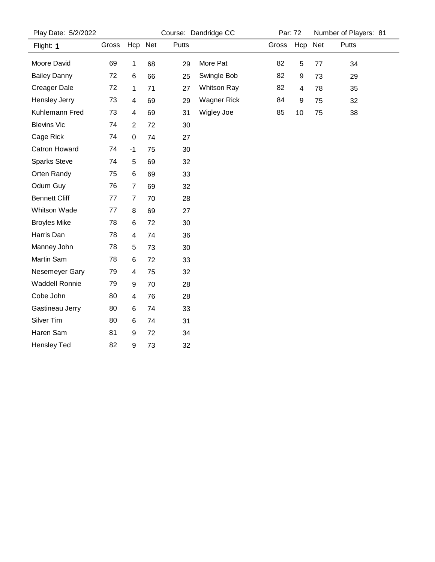| Play Date: 5/2/2022  |       |                |    |       | Course: Dandridge CC | Par: 72 |     |     | Number of Players: 81 |
|----------------------|-------|----------------|----|-------|----------------------|---------|-----|-----|-----------------------|
| Flight: 1            | Gross | Hcp Net        |    | Putts |                      | Gross   | Hcp | Net | Putts                 |
| Moore David          | 69    | 1              | 68 | 29    | More Pat             | 82      | 5   | 77  | 34                    |
| <b>Bailey Danny</b>  | 72    | 6              | 66 | 25    | Swingle Bob          | 82      | 9   | 73  | 29                    |
| <b>Creager Dale</b>  | 72    | 1              | 71 | 27    | <b>Whitson Ray</b>   | 82      | 4   | 78  | 35                    |
| Hensley Jerry        | 73    | 4              | 69 | 29    | <b>Wagner Rick</b>   | 84      | 9   | 75  | 32                    |
| Kuhlemann Fred       | 73    | 4              | 69 | 31    | Wigley Joe           | 85      | 10  | 75  | 38                    |
| <b>Blevins Vic</b>   | 74    | $\overline{2}$ | 72 | 30    |                      |         |     |     |                       |
| Cage Rick            | 74    | $\pmb{0}$      | 74 | 27    |                      |         |     |     |                       |
| <b>Catron Howard</b> | 74    | $-1$           | 75 | 30    |                      |         |     |     |                       |
| <b>Sparks Steve</b>  | 74    | 5              | 69 | 32    |                      |         |     |     |                       |
| Orten Randy          | 75    | 6              | 69 | 33    |                      |         |     |     |                       |
| Odum Guy             | 76    | $\overline{7}$ | 69 | 32    |                      |         |     |     |                       |
| <b>Bennett Cliff</b> | 77    | $\overline{7}$ | 70 | 28    |                      |         |     |     |                       |
| Whitson Wade         | 77    | 8              | 69 | 27    |                      |         |     |     |                       |
| <b>Broyles Mike</b>  | 78    | 6              | 72 | 30    |                      |         |     |     |                       |
| Harris Dan           | 78    | 4              | 74 | 36    |                      |         |     |     |                       |
| Manney John          | 78    | 5              | 73 | 30    |                      |         |     |     |                       |
| Martin Sam           | 78    | 6              | 72 | 33    |                      |         |     |     |                       |
| Nesemeyer Gary       | 79    | 4              | 75 | 32    |                      |         |     |     |                       |
| Waddell Ronnie       | 79    | 9              | 70 | 28    |                      |         |     |     |                       |
| Cobe John            | 80    | 4              | 76 | 28    |                      |         |     |     |                       |
| Gastineau Jerry      | 80    | 6              | 74 | 33    |                      |         |     |     |                       |
| Silver Tim           | 80    | 6              | 74 | 31    |                      |         |     |     |                       |
| Haren Sam            | 81    | 9              | 72 | 34    |                      |         |     |     |                       |
| <b>Hensley Ted</b>   | 82    | 9              | 73 | 32    |                      |         |     |     |                       |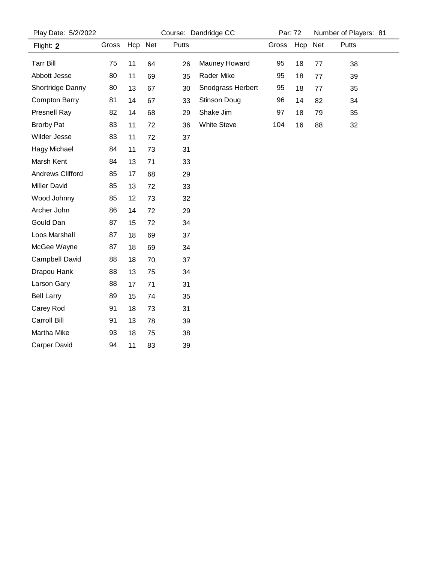| Play Date: 5/2/2022     |       |         |    |       | Course: Dandridge CC | Par: 72 |         | Number of Players: 81 |       |  |
|-------------------------|-------|---------|----|-------|----------------------|---------|---------|-----------------------|-------|--|
| Flight: 2               | Gross | Hcp Net |    | Putts |                      | Gross   | Hcp Net |                       | Putts |  |
| <b>Tarr Bill</b>        | 75    | 11      | 64 | 26    | Mauney Howard        | 95      | 18      | 77                    | 38    |  |
| Abbott Jesse            | 80    | 11      | 69 | 35    | Rader Mike           | 95      | 18      | 77                    | 39    |  |
| Shortridge Danny        | 80    | 13      | 67 | 30    | Snodgrass Herbert    | 95      | 18      | 77                    | 35    |  |
| <b>Compton Barry</b>    | 81    | 14      | 67 | 33    | <b>Stinson Doug</b>  | 96      | 14      | 82                    | 34    |  |
| Presnell Ray            | 82    | 14      | 68 | 29    | Shake Jim            | 97      | 18      | 79                    | 35    |  |
| <b>Brorby Pat</b>       | 83    | 11      | 72 | 36    | <b>White Steve</b>   | 104     | 16      | 88                    | 32    |  |
| Wilder Jesse            | 83    | 11      | 72 | 37    |                      |         |         |                       |       |  |
| <b>Hagy Michael</b>     | 84    | 11      | 73 | 31    |                      |         |         |                       |       |  |
| Marsh Kent              | 84    | 13      | 71 | 33    |                      |         |         |                       |       |  |
| <b>Andrews Clifford</b> | 85    | 17      | 68 | 29    |                      |         |         |                       |       |  |
| <b>Miller David</b>     | 85    | 13      | 72 | 33    |                      |         |         |                       |       |  |
| Wood Johnny             | 85    | 12      | 73 | 32    |                      |         |         |                       |       |  |
| Archer John             | 86    | 14      | 72 | 29    |                      |         |         |                       |       |  |
| Gould Dan               | 87    | 15      | 72 | 34    |                      |         |         |                       |       |  |
| Loos Marshall           | 87    | 18      | 69 | 37    |                      |         |         |                       |       |  |
| McGee Wayne             | 87    | 18      | 69 | 34    |                      |         |         |                       |       |  |
| Campbell David          | 88    | 18      | 70 | 37    |                      |         |         |                       |       |  |
| Drapou Hank             | 88    | 13      | 75 | 34    |                      |         |         |                       |       |  |
| Larson Gary             | 88    | 17      | 71 | 31    |                      |         |         |                       |       |  |
| <b>Bell Larry</b>       | 89    | 15      | 74 | 35    |                      |         |         |                       |       |  |
| Carey Rod               | 91    | 18      | 73 | 31    |                      |         |         |                       |       |  |
| Carroll Bill            | 91    | 13      | 78 | 39    |                      |         |         |                       |       |  |
| Martha Mike             | 93    | 18      | 75 | 38    |                      |         |         |                       |       |  |
| <b>Carper David</b>     | 94    | 11      | 83 | 39    |                      |         |         |                       |       |  |
|                         |       |         |    |       |                      |         |         |                       |       |  |